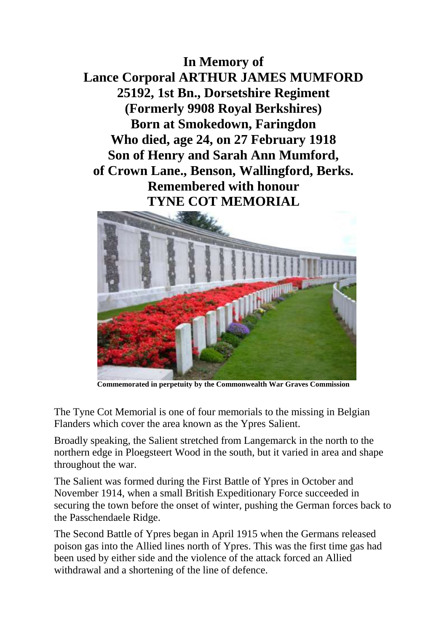



**Commemorated in perpetuity by the Commonwealth War Graves Commission**

The Tyne Cot Memorial is one of four memorials to the missing in Belgian Flanders which cover the area known as the Ypres Salient.

Broadly speaking, the Salient stretched from Langemarck in the north to the northern edge in Ploegsteert Wood in the south, but it varied in area and shape throughout the war.

The Salient was formed during the First Battle of Ypres in October and November 1914, when a small British Expeditionary Force succeeded in securing the town before the onset of winter, pushing the German forces back to the Passchendaele Ridge.

The Second Battle of Ypres began in April 1915 when the Germans released poison gas into the Allied lines north of Ypres. This was the first time gas had been used by either side and the violence of the attack forced an Allied withdrawal and a shortening of the line of defence.